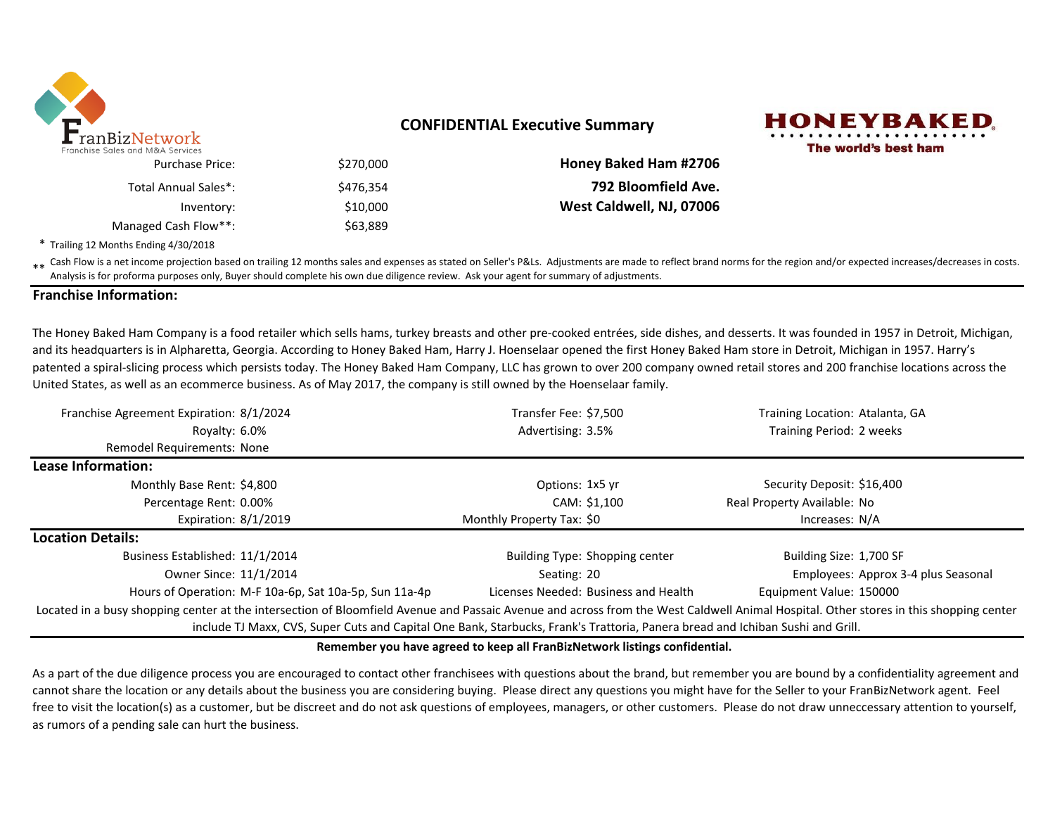

# **CONFIDENTIAL Executive Summary**



|                              |           | ales and M&A Services. |
|------------------------------|-----------|------------------------|
| <b>Honey Baked Ham #2706</b> | \$270,000 | <b>Purchase Price:</b> |
| 792 Bloomfield Ave.          | \$476.354 | Total Annual Sales*:   |
| West Caldwell, NJ, 07006     | \$10,000  | Inventory:             |
|                              | \$63,889  | Managed Cash Flow**:   |

\* Trailing 12 Months Ending 4/30/2018

\*\* Cash Flow is a net income projection based on trailing 12 months sales and expenses as stated on Seller's P&Ls. Adjustments are made to reflect brand norms for the region and/or expected increases/decreases in costs.<br>An Analysis is for proforma purposes only, Buyer should complete his own due diligence review. Ask your agent for summary of adjustments.

### **Franchise Information:**

The Honey Baked Ham Company is a food retailer which sells hams, turkey breasts and other pre-cooked entrées, side dishes, and desserts. It was founded in 1957 in Detroit, Michigan, and its headquarters is in Alpharetta, Georgia. According to Honey Baked Ham, Harry J. Hoenselaar opened the first Honey Baked Ham store in Detroit, Michigan in 1957. Harry's patented a spiral-slicing process which persists today. The Honey Baked Ham Company, LLC has grown to over 200 company owned retail stores and 200 franchise locations across the United States, as well as an ecommerce business. As of May 2017, the company is still owned by the Hoenselaar family.

| Franchise Agreement Expiration: 8/1/2024                                                                                       | Transfer Fee: \$7,500                                                                                                                                                                 | Training Location: Atalanta, GA     |  |  |  |  |  |
|--------------------------------------------------------------------------------------------------------------------------------|---------------------------------------------------------------------------------------------------------------------------------------------------------------------------------------|-------------------------------------|--|--|--|--|--|
| Royalty: 6.0%                                                                                                                  | Advertising: 3.5%                                                                                                                                                                     | Training Period: 2 weeks            |  |  |  |  |  |
| <b>Remodel Requirements: None</b>                                                                                              |                                                                                                                                                                                       |                                     |  |  |  |  |  |
| Lease Information:                                                                                                             |                                                                                                                                                                                       |                                     |  |  |  |  |  |
| Monthly Base Rent: \$4,800                                                                                                     | Options: 1x5 yr                                                                                                                                                                       | Security Deposit: \$16,400          |  |  |  |  |  |
| Percentage Rent: 0.00%                                                                                                         | CAM: \$1,100                                                                                                                                                                          | Real Property Available: No         |  |  |  |  |  |
| Expiration: 8/1/2019                                                                                                           | Monthly Property Tax: \$0                                                                                                                                                             | Increases: N/A                      |  |  |  |  |  |
| <b>Location Details:</b>                                                                                                       |                                                                                                                                                                                       |                                     |  |  |  |  |  |
| Business Established: 11/1/2014                                                                                                | Building Type: Shopping center                                                                                                                                                        | Building Size: 1,700 SF             |  |  |  |  |  |
| Owner Since: 11/1/2014                                                                                                         | Seating: 20                                                                                                                                                                           | Employees: Approx 3-4 plus Seasonal |  |  |  |  |  |
| Hours of Operation: M-F 10a-6p, Sat 10a-5p, Sun 11a-4p                                                                         | Licenses Needed: Business and Health                                                                                                                                                  | Equipment Value: 150000             |  |  |  |  |  |
|                                                                                                                                | Located in a busy shopping center at the intersection of Bloomfield Avenue and Passaic Avenue and across from the West Caldwell Animal Hospital. Other stores in this shopping center |                                     |  |  |  |  |  |
| include TJ Maxx, CVS, Super Cuts and Capital One Bank, Starbucks, Frank's Trattoria, Panera bread and Ichiban Sushi and Grill. |                                                                                                                                                                                       |                                     |  |  |  |  |  |

#### **Remember you have agreed to keep all FranBizNetwork listings confidential.**

As a part of the due diligence process you are encouraged to contact other franchisees with questions about the brand, but remember you are bound by a confidentiality agreement and cannot share the location or any details about the business you are considering buying. Please direct any questions you might have for the Seller to your FranBizNetwork agent. Feel free to visit the location(s) as a customer, but be discreet and do not ask questions of employees, managers, or other customers. Please do not draw unneccessary attention to yourself, as rumors of a pending sale can hurt the business.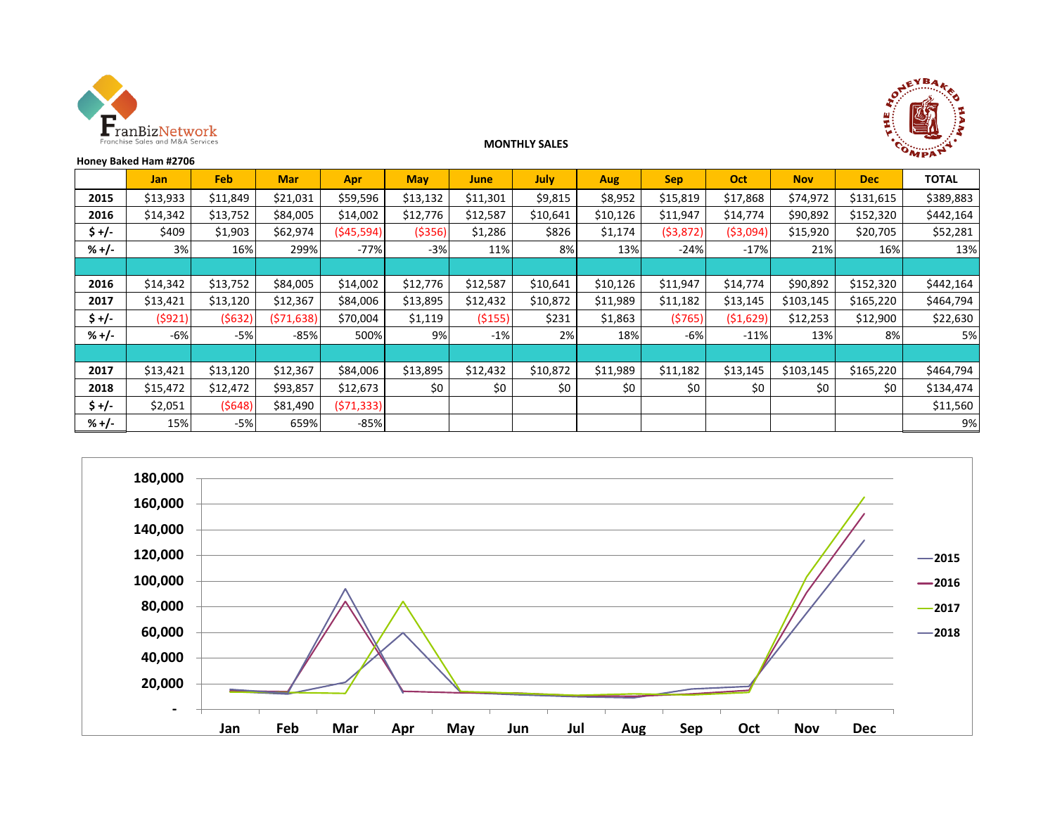



### **MONTHLY SALES**

|         | Honey Baked Ham #2706 |          |            |             |            |          |          |          |            |            |            |            | $\mathbf{w}$ pp. |
|---------|-----------------------|----------|------------|-------------|------------|----------|----------|----------|------------|------------|------------|------------|------------------|
|         | <b>Jan</b>            | Feb      | <b>Mar</b> | Apr         | <b>May</b> | June     | July     | Aug      | <b>Sep</b> | Oct        | <b>Nov</b> | <b>Dec</b> | <b>TOTAL</b>     |
| 2015    | \$13,933              | \$11,849 | \$21,031   | \$59,596    | \$13,132   | \$11,301 | \$9,815  | \$8,952  | \$15,819   | \$17,868   | \$74,972   | \$131,615  | \$389,883        |
| 2016    | \$14,342              | \$13,752 | \$84,005   | \$14,002    | \$12,776   | \$12,587 | \$10,641 | \$10,126 | \$11,947   | \$14,774   | \$90,892   | \$152,320  | \$442,164        |
| \$ +/-  | \$409                 | \$1,903  | \$62,974   | ( \$45,594) | ( \$356)   | \$1,286  | \$826    | \$1,174  | (53, 872)  | ( \$3,094) | \$15,920   | \$20,705   | \$52,281         |
| $% +/-$ | 3%                    | 16%      | 299%       | $-77%$      | $-3%$      | 11%      | 8%       | 13%      | $-24%$     | $-17%$     | 21%        | 16%        | 13%              |
|         |                       |          |            |             |            |          |          |          |            |            |            |            |                  |
| 2016    | \$14,342              | \$13,752 | \$84,005   | \$14,002    | \$12,776   | \$12,587 | \$10,641 | \$10,126 | \$11,947   | \$14,774   | \$90,892   | \$152,320  | \$442,164        |
| 2017    | \$13,421              | \$13,120 | \$12,367   | \$84,006    | \$13,895   | \$12,432 | \$10,872 | \$11,989 | \$11,182   | \$13,145   | \$103,145  | \$165,220  | \$464,794        |
| \$ +/-  | (5921)                | (5632)   | (571, 638) | \$70,004    | \$1,119    | ( \$155) | \$231    | \$1,863  | (5765)     | ( \$1,629) | \$12,253   | \$12,900   | \$22,630         |
| $% +/-$ | $-6%$                 | $-5%$    | $-85%$     | 500%        | 9%         | $-1%$    | 2%       | 18%      | $-6%$      | $-11%$     | 13%        | 8%         | 5%               |
|         |                       |          |            |             |            |          |          |          |            |            |            |            |                  |
| 2017    | \$13,421              | \$13,120 | \$12,367   | \$84,006    | \$13,895   | \$12,432 | \$10,872 | \$11,989 | \$11,182   | \$13,145   | \$103,145  | \$165,220  | \$464,794        |
| 2018    | \$15,472              | \$12,472 | \$93,857   | \$12,673    | \$0        | \$0      | \$0      | \$0      | \$0        | \$0        | \$0        | \$0        | \$134,474        |
| $$ +/-$ | \$2,051               | (5648)   | \$81,490   | (571, 333)  |            |          |          |          |            |            |            |            | \$11,560         |
| $% +/-$ | 15%                   | $-5%$    | 659%       | $-85%$      |            |          |          |          |            |            |            |            | 9%               |